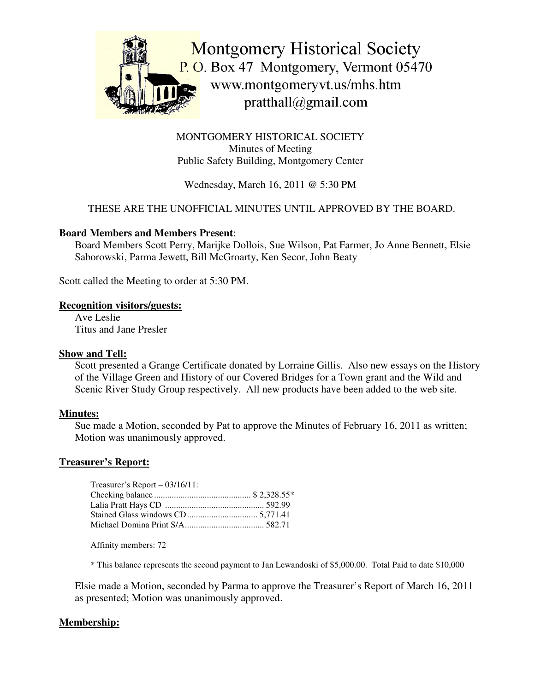

MONTGOMERY HISTORICAL SOCIETY Minutes of Meeting Public Safety Building, Montgomery Center

Wednesday, March 16, 2011 @ 5:30 PM

## THESE ARE THE UNOFFICIAL MINUTES UNTIL APPROVED BY THE BOARD.

### **Board Members and Members Present**:

Board Members Scott Perry, Marijke Dollois, Sue Wilson, Pat Farmer, Jo Anne Bennett, Elsie Saborowski, Parma Jewett, Bill McGroarty, Ken Secor, John Beaty

Scott called the Meeting to order at 5:30 PM.

#### **Recognition visitors/guests:**

Ave Leslie Titus and Jane Presler

#### **Show and Tell:**

Scott presented a Grange Certificate donated by Lorraine Gillis. Also new essays on the History of the Village Green and History of our Covered Bridges for a Town grant and the Wild and Scenic River Study Group respectively. All new products have been added to the web site.

#### **Minutes:**

Sue made a Motion, seconded by Pat to approve the Minutes of February 16, 2011 as written; Motion was unanimously approved.

#### **Treasurer's Report:**

| $T$ reasurer's Report – 03/16/11: |  |
|-----------------------------------|--|
|                                   |  |
|                                   |  |
|                                   |  |
|                                   |  |

Affinity members: 72

\* This balance represents the second payment to Jan Lewandoski of \$5,000.00. Total Paid to date \$10,000

Elsie made a Motion, seconded by Parma to approve the Treasurer's Report of March 16, 2011 as presented; Motion was unanimously approved.

## **Membership:**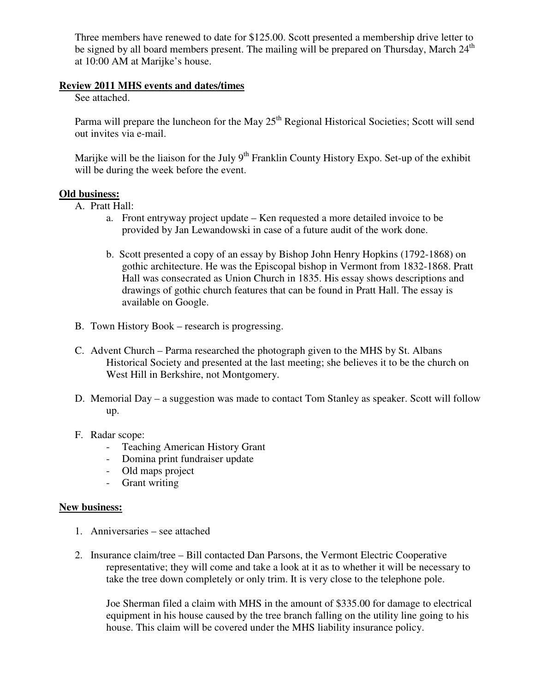Three members have renewed to date for \$125.00. Scott presented a membership drive letter to be signed by all board members present. The mailing will be prepared on Thursday, March 24<sup>th</sup> at 10:00 AM at Marijke's house.

#### **Review 2011 MHS events and dates/times**

See attached.

Parma will prepare the luncheon for the May 25<sup>th</sup> Regional Historical Societies; Scott will send out invites via e-mail.

Marijke will be the liaison for the July 9<sup>th</sup> Franklin County History Expo. Set-up of the exhibit will be during the week before the event.

## **Old business:**

- A. Pratt Hall:
	- a. Front entryway project update Ken requested a more detailed invoice to be provided by Jan Lewandowski in case of a future audit of the work done.
	- b. Scott presented a copy of an essay by Bishop John Henry Hopkins (1792-1868) on gothic architecture. He was the Episcopal bishop in Vermont from 1832-1868. Pratt Hall was consecrated as Union Church in 1835. His essay shows descriptions and drawings of gothic church features that can be found in Pratt Hall. The essay is available on Google.
- B. Town History Book research is progressing.
- C. Advent Church Parma researched the photograph given to the MHS by St. Albans Historical Society and presented at the last meeting; she believes it to be the church on West Hill in Berkshire, not Montgomery.
- D. Memorial Day a suggestion was made to contact Tom Stanley as speaker. Scott will follow up.
- F. Radar scope:
	- Teaching American History Grant
	- Domina print fundraiser update
	- Old maps project
	- Grant writing

## **New business:**

- 1. Anniversaries see attached
- 2. Insurance claim/tree Bill contacted Dan Parsons, the Vermont Electric Cooperative representative; they will come and take a look at it as to whether it will be necessary to take the tree down completely or only trim. It is very close to the telephone pole.

Joe Sherman filed a claim with MHS in the amount of \$335.00 for damage to electrical equipment in his house caused by the tree branch falling on the utility line going to his house. This claim will be covered under the MHS liability insurance policy.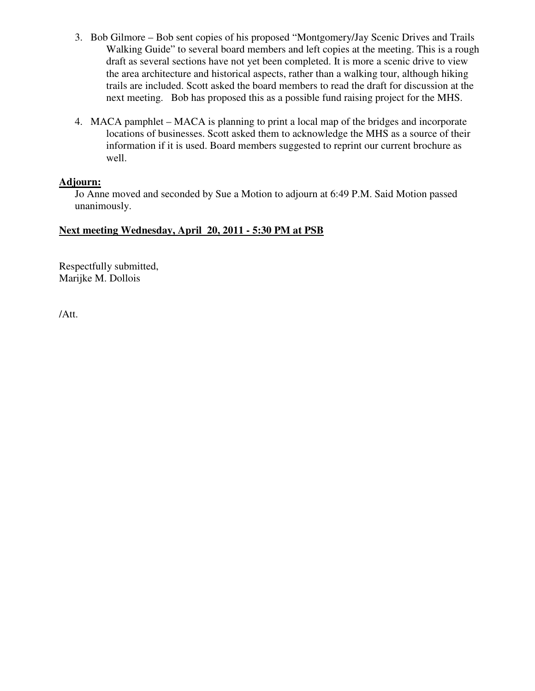- 3. Bob Gilmore Bob sent copies of his proposed "Montgomery/Jay Scenic Drives and Trails Walking Guide" to several board members and left copies at the meeting. This is a rough draft as several sections have not yet been completed. It is more a scenic drive to view the area architecture and historical aspects, rather than a walking tour, although hiking trails are included. Scott asked the board members to read the draft for discussion at the next meeting. Bob has proposed this as a possible fund raising project for the MHS.
- 4. MACA pamphlet MACA is planning to print a local map of the bridges and incorporate locations of businesses. Scott asked them to acknowledge the MHS as a source of their information if it is used. Board members suggested to reprint our current brochure as well.

## **Adjourn:**

Jo Anne moved and seconded by Sue a Motion to adjourn at 6:49 P.M. Said Motion passed unanimously.

## **Next meeting Wednesday, April 20, 2011 - 5:30 PM at PSB**

Respectfully submitted, Marijke M. Dollois

/Att.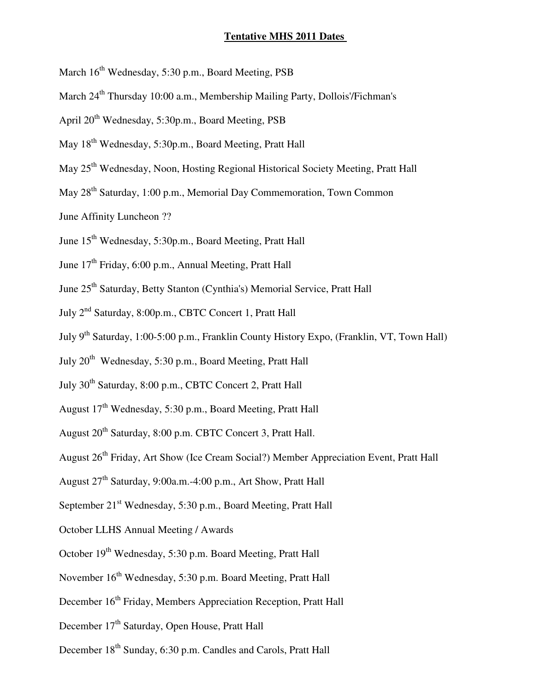#### **Tentative MHS 2011 Dates**

- March  $16^{\text{th}}$  Wednesday, 5:30 p.m., Board Meeting, PSB
- March 24<sup>th</sup> Thursday 10:00 a.m., Membership Mailing Party, Dollois'/Fichman's
- April 20<sup>th</sup> Wednesday, 5:30p.m., Board Meeting, PSB
- May 18<sup>th</sup> Wednesday, 5:30p.m., Board Meeting, Pratt Hall
- May 25<sup>th</sup> Wednesday, Noon, Hosting Regional Historical Society Meeting, Pratt Hall
- May 28<sup>th</sup> Saturday, 1:00 p.m., Memorial Day Commemoration, Town Common
- June Affinity Luncheon ??
- June 15<sup>th</sup> Wednesday, 5:30p.m., Board Meeting, Pratt Hall
- June 17<sup>th</sup> Friday, 6:00 p.m., Annual Meeting, Pratt Hall
- June 25<sup>th</sup> Saturday, Betty Stanton (Cynthia's) Memorial Service, Pratt Hall
- July 2<sup>nd</sup> Saturday, 8:00p.m., CBTC Concert 1, Pratt Hall
- July 9<sup>th</sup> Saturday, 1:00-5:00 p.m., Franklin County History Expo, (Franklin, VT, Town Hall)
- July 20<sup>th</sup> Wednesday, 5:30 p.m., Board Meeting, Pratt Hall
- July 30<sup>th</sup> Saturday, 8:00 p.m., CBTC Concert 2, Pratt Hall
- August 17<sup>th</sup> Wednesday, 5:30 p.m., Board Meeting, Pratt Hall
- August 20<sup>th</sup> Saturday, 8:00 p.m. CBTC Concert 3, Pratt Hall.
- August 26<sup>th</sup> Friday, Art Show (Ice Cream Social?) Member Appreciation Event, Pratt Hall
- August 27<sup>th</sup> Saturday, 9:00a.m.-4:00 p.m., Art Show, Pratt Hall
- September 21<sup>st</sup> Wednesday, 5:30 p.m., Board Meeting, Pratt Hall
- October LLHS Annual Meeting / Awards
- October 19<sup>th</sup> Wednesday, 5:30 p.m. Board Meeting, Pratt Hall
- November 16<sup>th</sup> Wednesday, 5:30 p.m. Board Meeting, Pratt Hall
- December 16<sup>th</sup> Friday, Members Appreciation Reception, Pratt Hall
- December 17<sup>th</sup> Saturday, Open House, Pratt Hall
- December 18<sup>th</sup> Sunday, 6:30 p.m. Candles and Carols, Pratt Hall